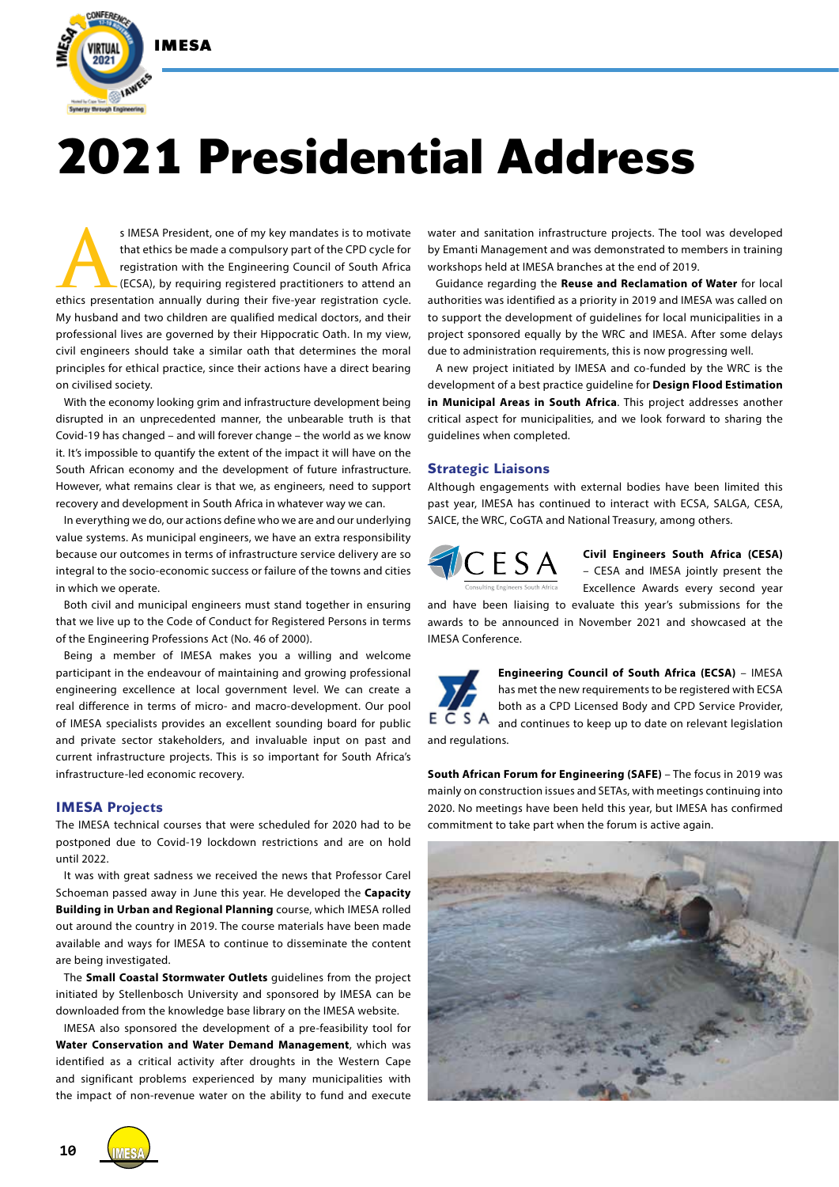

# **2021 Presidential Address**

s IMESA President, one of my key mandates is to motivate that ethics be made a compulsory part of the CPD cycle for registration with the Engineering Council of South Africa (ECSA), by requiring registered practitioners to that ethics be made a compulsory part of the CPD cycle for registration with the Engineering Council of South Africa (ECSA), by requiring registered practitioners to attend an My husband and two children are qualified medical doctors, and their professional lives are governed by their Hippocratic Oath. In my view, civil engineers should take a similar oath that determines the moral principles for ethical practice, since their actions have a direct bearing on civilised society.

With the economy looking grim and infrastructure development being disrupted in an unprecedented manner, the unbearable truth is that Covid-19 has changed – and will forever change – the world as we know it. It's impossible to quantify the extent of the impact it will have on the South African economy and the development of future infrastructure. However, what remains clear is that we, as engineers, need to support recovery and development in South Africa in whatever way we can.

In everything we do, our actions define who we are and our underlying value systems. As municipal engineers, we have an extra responsibility because our outcomes in terms of infrastructure service delivery are so integral to the socio-economic success or failure of the towns and cities in which we operate.

Both civil and municipal engineers must stand together in ensuring that we live up to the Code of Conduct for Registered Persons in terms of the Engineering Professions Act (No. 46 of 2000).

Being a member of IMESA makes you a willing and welcome participant in the endeavour of maintaining and growing professional engineering excellence at local government level. We can create a real difference in terms of micro- and macro-development. Our pool of IMESA specialists provides an excellent sounding board for public and private sector stakeholders, and invaluable input on past and current infrastructure projects. This is so important for South Africa's infrastructure-led economic recovery.

## **IMESA Projects**

The IMESA technical courses that were scheduled for 2020 had to be postponed due to Covid-19 lockdown restrictions and are on hold until 2022.

It was with great sadness we received the news that Professor Carel Schoeman passed away in June this year. He developed the **Capacity Building in Urban and Regional Planning** course, which IMESA rolled out around the country in 2019. The course materials have been made available and ways for IMESA to continue to disseminate the content are being investigated.

The **Small Coastal Stormwater Outlets** guidelines from the project initiated by Stellenbosch University and sponsored by IMESA can be downloaded from the knowledge base library on the IMESA website.

IMESA also sponsored the development of a pre-feasibility tool for **Water Conservation and Water Demand Management**, which was identified as a critical activity after droughts in the Western Cape and significant problems experienced by many municipalities with the impact of non-revenue water on the ability to fund and execute

water and sanitation infrastructure projects. The tool was developed by Emanti Management and was demonstrated to members in training workshops held at IMESA branches at the end of 2019.

Guidance regarding the **Reuse and Reclamation of Water** for local authorities was identified as a priority in 2019 and IMESA was called on to support the development of guidelines for local municipalities in a project sponsored equally by the WRC and IMESA. After some delays due to administration requirements, this is now progressing well.

A new project initiated by IMESA and co-funded by the WRC is the development of a best practice guideline for **Design Flood Estimation in Municipal Areas in South Africa**. This project addresses another critical aspect for municipalities, and we look forward to sharing the guidelines when completed.

## **Strategic Liaisons**

Although engagements with external bodies have been limited this past year, IMESA has continued to interact with ECSA, SALGA, CESA, SAICE, the WRC, CoGTA and National Treasury, among others.



**Civil Engineers South Africa (CESA)** – CESA and IMESA jointly present the Excellence Awards every second year

and have been liaising to evaluate this year's submissions for the awards to be announced in November 2021 and showcased at the IMESA Conference.



**Engineering Council of South Africa (ECSA)** – IMESA has met the new requirements to be registered with ECSA both as a CPD Licensed Body and CPD Service Provider,  $E \overline{C} S A$  and continues to keep up to date on relevant legislation

and regulations.

**South African Forum for Engineering (SAFE)** - The focus in 2019 was mainly on construction issues and SETAs, with meetings continuing into 2020. No meetings have been held this year, but IMESA has confirmed commitment to take part when the forum is active again.





**10**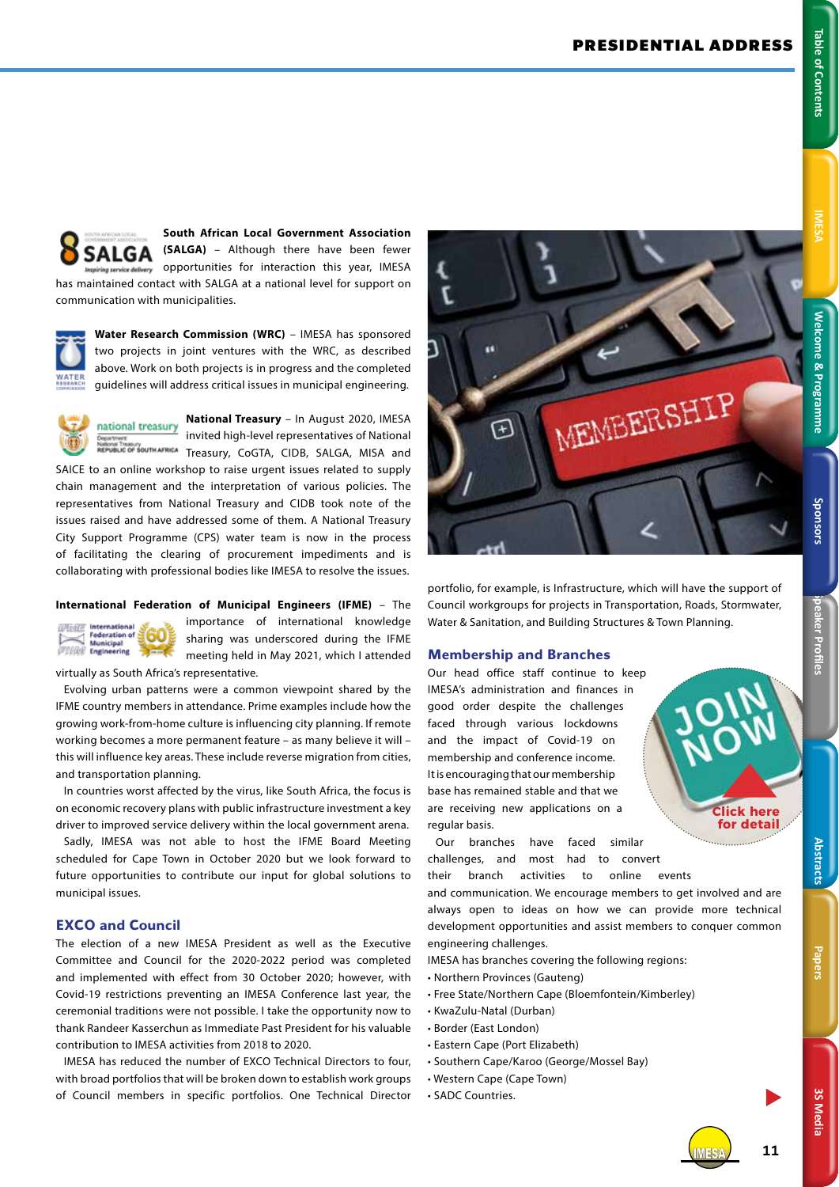## **National Treasury** – In August 2020, IMESA national treasury<br>invited high-level representatives of National F <sub>Nailonal Treasury<br>REPUBLIC OF SOUTH AFRICA Treasury, CoGTA, CIDB, SALGA, MISA and</sub>

SAICE to an online workshop to raise urgent issues related to supply chain management and the interpretation of various policies. The representatives from National Treasury and CIDB took note of the issues raised and have addressed some of them. A National Treasury City Support Programme (CPS) water team is now in the process of facilitating the clearing of procurement impediments and is collaborating with professional bodies like IMESA to resolve the issues.

has maintained contact with SALGA at a national level for support on

**Water Research Commission (WRC)** – IMESA has sponsored two projects in joint ventures with the WRC, as described above. Work on both projects is in progress and the completed guidelines will address critical issues in municipal engineering.

communication with municipalities.

SALGA

## **International Federation of Municipal Engineers (IFME)** – The

 $0 - 1/2$ Federation of Municipal<br>
Engineering

importance of international knowledge sharing was underscored during the IFME meeting held in May 2021, which I attended virtually as South Africa's representative.

**South African Local Government Association (SALGA)** – Although there have been fewer opportunities for interaction this year, IMESA

Evolving urban patterns were a common viewpoint shared by the IFME country members in attendance. Prime examples include how the growing work-from-home culture is influencing city planning. If remote working becomes a more permanent feature – as many believe it will – this will influence key areas. These include reverse migration from cities, and transportation planning.

In countries worst affected by the virus, like South Africa, the focus is on economic recovery plans with public infrastructure investment a key driver to improved service delivery within the local government arena.

Sadly, IMESA was not able to host the IFME Board Meeting scheduled for Cape Town in October 2020 but we look forward to future opportunities to contribute our input for global solutions to municipal issues.

## **EXCO and Council**

The election of a new IMESA President as well as the Executive Committee and Council for the 2020-2022 period was completed and implemented with effect from 30 October 2020; however, with Covid-19 restrictions preventing an IMESA Conference last year, the ceremonial traditions were not possible. I take the opportunity now to thank Randeer Kasserchun as Immediate Past President for his valuable contribution to IMESA activities from 2018 to 2020.

IMESA has reduced the number of EXCO Technical Directors to four, with broad portfolios that will be broken down to establish work groups of Council members in specific portfolios. One Technical Director



portfolio, for example, is Infrastructure, which will have the support of Council workgroups for projects in Transportation, Roads, Stormwater, Water & Sanitation, and Building Structures & Town Planning.

## **Membership and Branches**

Our head office staff continue to keep IMESA's administration and finances in good order despite the challenges faced through various lockdowns and the impact of Covid-19 on membership and conference income. It is encouraging that our membership base has remained stable and that we are receiving new applications on a regular basis.

Our branches have faced similar challenges, and most had to convert their branch activities to online events

and communication. We encourage members to get involved and are always open to ideas on how we can provide more technical development opportunities and assist members to conquer common engineering challenges.

IMESA has branches covering the following regions:

- Northern Provinces (Gauteng)
- Free State/Northern Cape (Bloemfontein/Kimberley)
- KwaZulu-Natal (Durban)
- Border (East London)
- Eastern Cape (Port Elizabeth)
- Southern Cape/Karoo (George/Mossel Bay)
- Western Cape (Cape Town)
- SADC Countries.



**3S Media**

**3S Media**